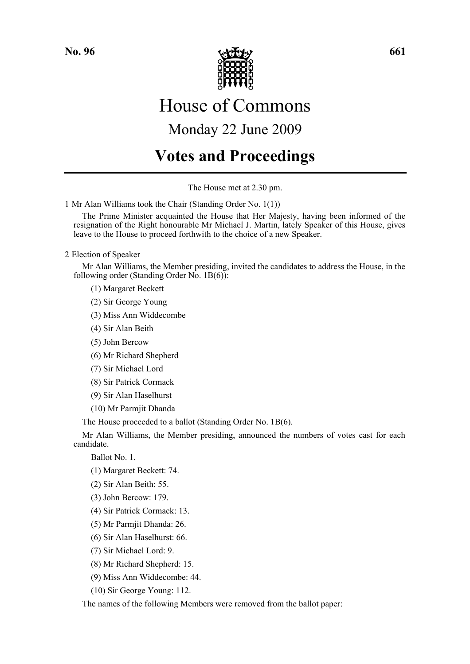

# House of Commons

# Monday 22 June 2009

# **Votes and Proceedings**

The House met at 2.30 pm.

1 Mr Alan Williams took the Chair (Standing Order No. 1(1))

The Prime Minister acquainted the House that Her Majesty, having been informed of the resignation of the Right honourable Mr Michael J. Martin, lately Speaker of this House, gives leave to the House to proceed forthwith to the choice of a new Speaker.

### 2 Election of Speaker

Mr Alan Williams, the Member presiding, invited the candidates to address the House, in the following order (Standing Order No. 1B(6)):

(1) Margaret Beckett

(2) Sir George Young

(3) Miss Ann Widdecombe

(4) Sir Alan Beith

- (5) John Bercow
- (6) Mr Richard Shepherd
- (7) Sir Michael Lord
- (8) Sir Patrick Cormack
- (9) Sir Alan Haselhurst
- (10) Mr Parmjit Dhanda

The House proceeded to a ballot (Standing Order No. 1B(6).

Mr Alan Williams, the Member presiding, announced the numbers of votes cast for each candidate.

Ballot No. 1.

- (1) Margaret Beckett: 74.
- (2) Sir Alan Beith: 55.
- (3) John Bercow: 179.
- (4) Sir Patrick Cormack: 13.
- (5) Mr Parmjit Dhanda: 26.
- (6) Sir Alan Haselhurst: 66.
- (7) Sir Michael Lord: 9.
- (8) Mr Richard Shepherd: 15.
- (9) Miss Ann Widdecombe: 44.
- (10) Sir George Young: 112.

The names of the following Members were removed from the ballot paper: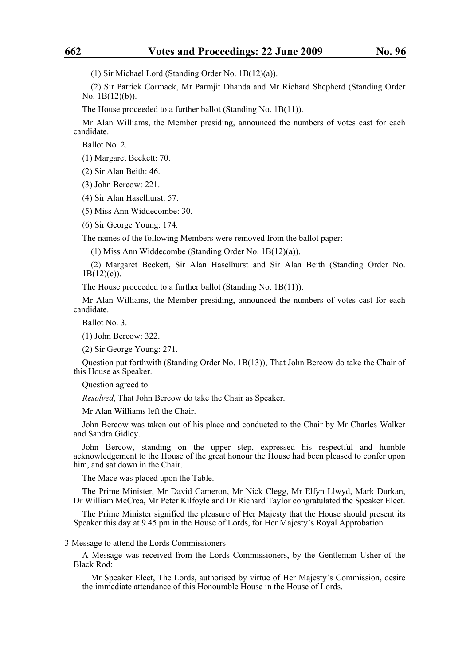(1) Sir Michael Lord (Standing Order No. 1B(12)(a)).

(2) Sir Patrick Cormack, Mr Parmjit Dhanda and Mr Richard Shepherd (Standing Order No. 1B(12)(b)).

The House proceeded to a further ballot (Standing No. 1B(11)).

Mr Alan Williams, the Member presiding, announced the numbers of votes cast for each candidate.

Ballot No. 2.

(1) Margaret Beckett: 70.

(2) Sir Alan Beith: 46.

(3) John Bercow: 221.

(4) Sir Alan Haselhurst: 57.

(5) Miss Ann Widdecombe: 30.

(6) Sir George Young: 174.

The names of the following Members were removed from the ballot paper:

(1) Miss Ann Widdecombe (Standing Order No. 1B(12)(a)).

(2) Margaret Beckett, Sir Alan Haselhurst and Sir Alan Beith (Standing Order No.  $1B(12)(c)$ ).

The House proceeded to a further ballot (Standing No. 1B(11)).

Mr Alan Williams, the Member presiding, announced the numbers of votes cast for each candidate.

Ballot No. 3.

(1) John Bercow: 322.

(2) Sir George Young: 271.

Question put forthwith (Standing Order No. 1B(13)), That John Bercow do take the Chair of this House as Speaker.

Question agreed to.

*Resolved*, That John Bercow do take the Chair as Speaker.

Mr Alan Williams left the Chair.

John Bercow was taken out of his place and conducted to the Chair by Mr Charles Walker and Sandra Gidley.

John Bercow, standing on the upper step, expressed his respectful and humble acknowledgement to the House of the great honour the House had been pleased to confer upon him, and sat down in the Chair.

The Mace was placed upon the Table.

The Prime Minister, Mr David Cameron, Mr Nick Clegg, Mr Elfyn Llwyd, Mark Durkan, Dr William McCrea, Mr Peter Kilfoyle and Dr Richard Taylor congratulated the Speaker Elect.

The Prime Minister signified the pleasure of Her Majesty that the House should present its Speaker this day at 9.45 pm in the House of Lords, for Her Majesty's Royal Approbation.

3 Message to attend the Lords Commissioners

A Message was received from the Lords Commissioners, by the Gentleman Usher of the Black Rod:

Mr Speaker Elect, The Lords, authorised by virtue of Her Majesty's Commission, desire the immediate attendance of this Honourable House in the House of Lords.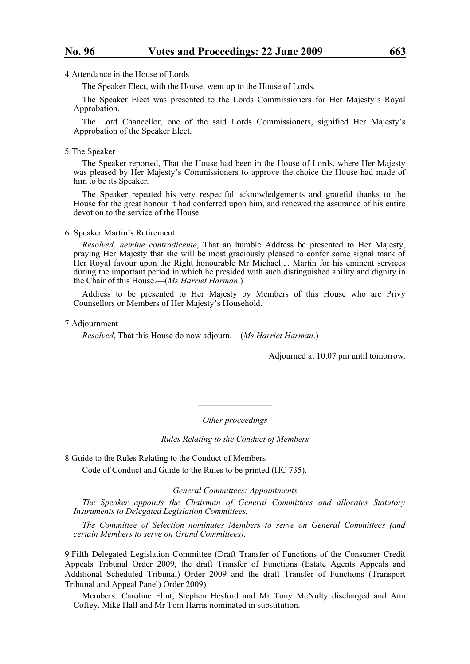4 Attendance in the House of Lords

The Speaker Elect, with the House, went up to the House of Lords.

The Speaker Elect was presented to the Lords Commissioners for Her Majesty's Royal Approbation.

The Lord Chancellor, one of the said Lords Commissioners, signified Her Majesty's Approbation of the Speaker Elect.

#### 5 The Speaker

The Speaker reported, That the House had been in the House of Lords, where Her Majesty was pleased by Her Majesty's Commissioners to approve the choice the House had made of him to be its Speaker.

The Speaker repeated his very respectful acknowledgements and grateful thanks to the House for the great honour it had conferred upon him, and renewed the assurance of his entire devotion to the service of the House.

#### 6 Speaker Martin's Retirement

*Resolved, nemine contradicente*, That an humble Address be presented to Her Majesty, praying Her Majesty that she will be most graciously pleased to confer some signal mark of Her Royal favour upon the Right honourable Mr Michael J. Martin for his eminent services during the important period in which he presided with such distinguished ability and dignity in the Chair of this House.—(*Ms Harriet Harman*.)

Address to be presented to Her Majesty by Members of this House who are Privy Counsellors or Members of Her Majesty's Household.

#### 7 Adjournment

*Resolved*, That this House do now adjourn.—(*Ms Harriet Harman*.)

Adjourned at 10.07 pm until tomorrow.

*Other proceedings* 

*\_\_\_\_\_\_\_\_\_\_\_\_\_\_\_\_\_* 

*Rules Relating to the Conduct of Members* 

8 Guide to the Rules Relating to the Conduct of Members Code of Conduct and Guide to the Rules to be printed (HC 735).

#### *General Committees: Appointments*

*The Speaker appoints the Chairman of General Committees and allocates Statutory Instruments to Delegated Legislation Committees.*

*The Committee of Selection nominates Members to serve on General Committees (and certain Members to serve on Grand Committees).*

9 Fifth Delegated Legislation Committee (Draft Transfer of Functions of the Consumer Credit Appeals Tribunal Order 2009, the draft Transfer of Functions (Estate Agents Appeals and Additional Scheduled Tribunal) Order 2009 and the draft Transfer of Functions (Transport Tribunal and Appeal Panel) Order 2009)

Members: Caroline Flint, Stephen Hesford and Mr Tony McNulty discharged and Ann Coffey, Mike Hall and Mr Tom Harris nominated in substitution.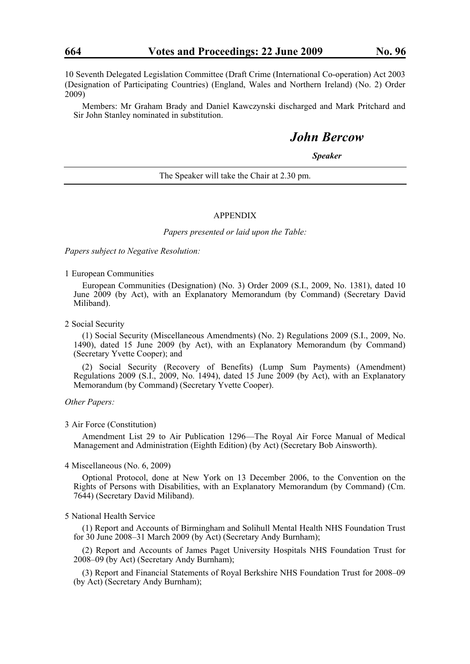10 Seventh Delegated Legislation Committee (Draft Crime (International Co-operation) Act 2003 (Designation of Participating Countries) (England, Wales and Northern Ireland) (No. 2) Order 2009)

Members: Mr Graham Brady and Daniel Kawczynski discharged and Mark Pritchard and Sir John Stanley nominated in substitution.

## *John Bercow*

*Speaker* 

The Speaker will take the Chair at 2.30 pm.

#### APPENDIX

*Papers presented or laid upon the Table:* 

*Papers subject to Negative Resolution:* 

1 European Communities

European Communities (Designation) (No. 3) Order 2009 (S.I., 2009, No. 1381), dated 10 June 2009 (by Act), with an Explanatory Memorandum (by Command) (Secretary David Miliband).

2 Social Security

(1) Social Security (Miscellaneous Amendments) (No. 2) Regulations 2009 (S.I., 2009, No. 1490), dated 15 June 2009 (by Act), with an Explanatory Memorandum (by Command) (Secretary Yvette Cooper); and

(2) Social Security (Recovery of Benefits) (Lump Sum Payments) (Amendment) Regulations 2009 (S.I., 2009, No. 1494), dated 15 June 2009 (by Act), with an Explanatory Memorandum (by Command) (Secretary Yvette Cooper).

*Other Papers:* 

3 Air Force (Constitution)

Amendment List 29 to Air Publication 1296—The Royal Air Force Manual of Medical Management and Administration (Eighth Edition) (by Act) (Secretary Bob Ainsworth).

4 Miscellaneous (No. 6, 2009)

Optional Protocol, done at New York on 13 December 2006, to the Convention on the Rights of Persons with Disabilities, with an Explanatory Memorandum (by Command) (Cm. 7644) (Secretary David Miliband).

#### 5 National Health Service

(1) Report and Accounts of Birmingham and Solihull Mental Health NHS Foundation Trust for 30 June 2008–31 March 2009 (by Act) (Secretary Andy Burnham);

(2) Report and Accounts of James Paget University Hospitals NHS Foundation Trust for 2008–09 (by Act) (Secretary Andy Burnham);

(3) Report and Financial Statements of Royal Berkshire NHS Foundation Trust for 2008–09 (by Act) (Secretary Andy Burnham);